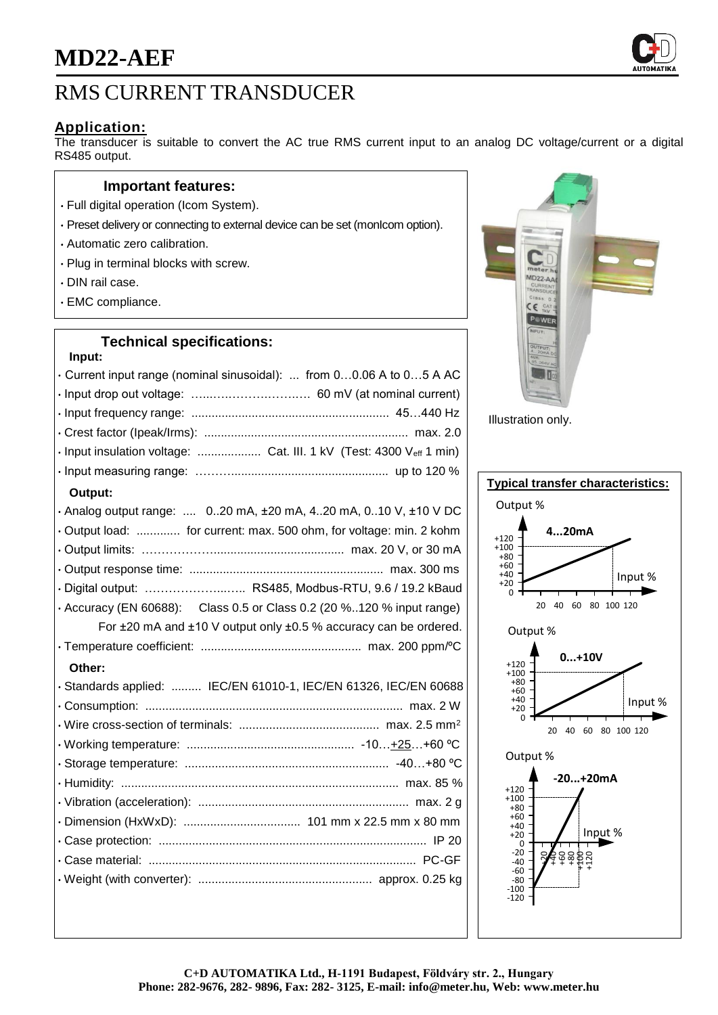# RMS CURRENT TRANSDUCER

## **Application:**

The transducer is suitable to convert the AC true RMS current input to an analog DC voltage/current or a digital RS485 output.

## **Important features:**

- Full digital operation (Icom System).
- Preset delivery or connecting to external device can be set (monIcom option).
- Automatic zero calibration.
- Plug in terminal blocks with screw.
- DIN rail case.
- EMC compliance.

## **Technical specifications:**

#### **Input:**

| • Current input range (nominal sinusoidal):  from 00.06 A to 05 A AC        |
|-----------------------------------------------------------------------------|
|                                                                             |
|                                                                             |
|                                                                             |
| · Input insulation voltage:  Cat. III. 1 kV (Test: 4300 Veff 1 min)         |
|                                                                             |
| Output:                                                                     |
| · Analog output range:  020 mA, ±20 mA, 420 mA, 010 V, ±10 V DC             |
| Output load:  for current: max. 500 ohm, for voltage: min. 2 kohm           |
|                                                                             |
|                                                                             |
| · Digital output:  RS485, Modbus-RTU, 9.6 / 19.2 kBaud                      |
| $\cdot$ Accuracy (EN 60688): Class 0.5 or Class 0.2 (20 %120 % input range) |
| For ±20 mA and ±10 V output only ±0.5 % accuracy can be ordered.            |
|                                                                             |
| Other:                                                                      |
| · Standards applied:  IEC/EN 61010-1, IEC/EN 61326, IEC/EN 60688            |
|                                                                             |
|                                                                             |
|                                                                             |
|                                                                             |
|                                                                             |
|                                                                             |
|                                                                             |
|                                                                             |
|                                                                             |
|                                                                             |
|                                                                             |



Illustration only.